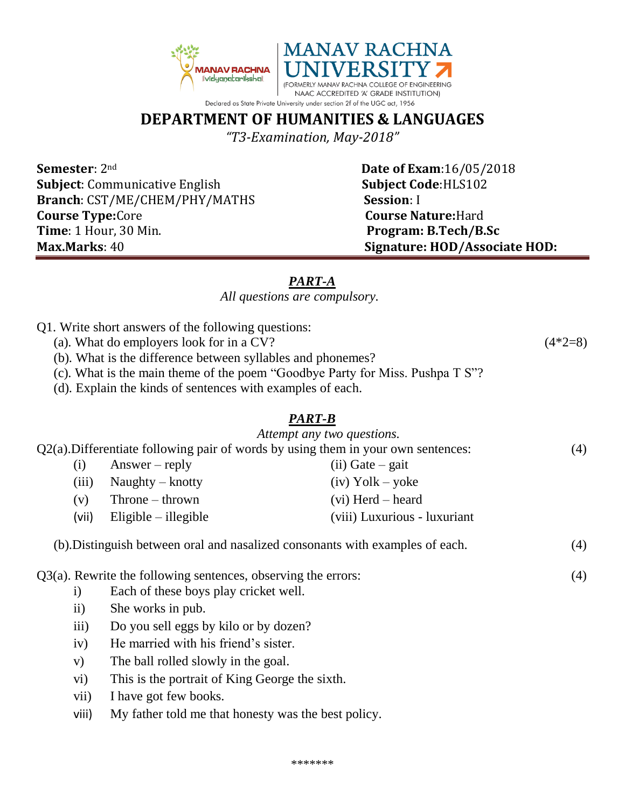

# **DEPARTMENT OF HUMANITIES & LANGUAGES**

*"T3-Examination, May-2018"*

**Semester**:  $2^{nd}$  **Date of Exam**:16/05/2018 **Subject**: Communicative English **Subject Code**:HLS102 **Branch**: CST/ME/CHEM/PHY/MATHS **Session**: I **Course Type:**Core **Course Nature:**Hard **Time**: 1 Hour, 30 Min. **Program: B.Tech/B.Sc Max.Marks**: 40 **Signature: HOD/Associate HOD:**

# *PART-A*

### *All questions are compulsory.*

- Q1. Write short answers of the following questions:
	- (a). What do employers look for in a CV?  $(4*2=8)$
	- (b). What is the difference between syllables and phonemes?
	- (c). What is the main theme of the poem "Goodbye Party for Miss. Pushpa T S"?
	- (d). Explain the kinds of sentences with examples of each.

## *PART-B*

|                                                                  |                                                                                      |                                                                               | Attempt any two questions.   |     |
|------------------------------------------------------------------|--------------------------------------------------------------------------------------|-------------------------------------------------------------------------------|------------------------------|-----|
|                                                                  | $Q2(a)$ . Differentiate following pair of words by using them in your own sentences: |                                                                               |                              | (4) |
|                                                                  | (i)                                                                                  | $Answer - reply$                                                              | $(ii)$ Gate – gait           |     |
|                                                                  | (iii)                                                                                | Naughty $-$ knotty                                                            | $(iv)$ Yolk – yoke           |     |
|                                                                  | (v)                                                                                  | $Throne - thrown$                                                             | $(vi)$ Herd – heard          |     |
|                                                                  | (vii)                                                                                | $Eligible - illegible$                                                        | (viii) Luxurious - luxuriant |     |
|                                                                  |                                                                                      | (b). Distinguish between oral and nasalized consonants with examples of each. |                              | (4) |
| $Q3(a)$ . Rewrite the following sentences, observing the errors: |                                                                                      |                                                                               |                              |     |
|                                                                  | $\rm i)$                                                                             | Each of these boys play cricket well.                                         |                              |     |
|                                                                  | $\ddot{\mathbf{i}}$                                                                  | She works in pub.                                                             |                              |     |
|                                                                  | iii)                                                                                 | Do you sell eggs by kilo or by dozen?                                         |                              |     |
|                                                                  | iv)                                                                                  | He married with his friend's sister.                                          |                              |     |
|                                                                  | V)                                                                                   | The ball rolled slowly in the goal.                                           |                              |     |
|                                                                  | vi)                                                                                  | This is the portrait of King George the sixth.                                |                              |     |
|                                                                  | vii)                                                                                 | I have got few books.                                                         |                              |     |
|                                                                  |                                                                                      |                                                                               |                              |     |

viii) My father told me that honesty was the best policy.